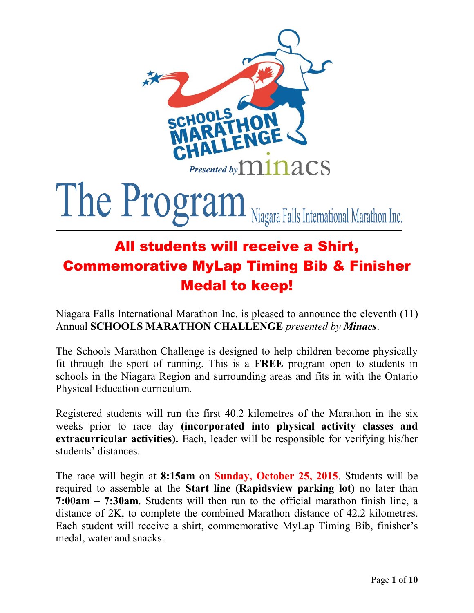

# The Program Niagara Falls International Marathon Inc.

# All students will receive a Shirt, Commemorative MyLap Timing Bib & Finisher Medal to keep!

Niagara Falls International Marathon Inc. is pleased to announce the eleventh (11) Annual **SCHOOLS MARATHON CHALLENGE** *presented by Minacs*.

The Schools Marathon Challenge is designed to help children become physically fit through the sport of running. This is a **FREE** program open to students in schools in the Niagara Region and surrounding areas and fits in with the Ontario Physical Education curriculum.

Registered students will run the first 40.2 kilometres of the Marathon in the six weeks prior to race day **(incorporated into physical activity classes and extracurricular activities).** Each, leader will be responsible for verifying his/her students' distances.

The race will begin at **8:15am** on **Sunday, October 25, 2015**. Students will be required to assemble at the **Start line (Rapidsview parking lot)** no later than **7:00am – 7:30am**. Students will then run to the official marathon finish line, a distance of 2K, to complete the combined Marathon distance of 42.2 kilometres. Each student will receive a shirt, commemorative MyLap Timing Bib, finisher's medal, water and snacks.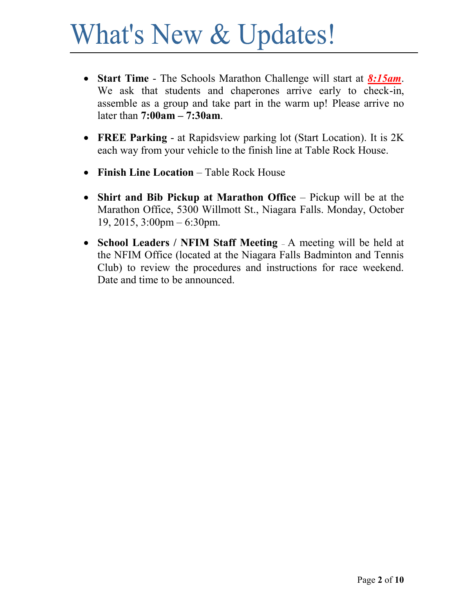# What's New & Updates!

- **Start Time**  The Schools Marathon Challenge will start at *8:15am*. We ask that students and chaperones arrive early to check-in, assemble as a group and take part in the warm up! Please arrive no later than **7:00am – 7:30am**.
- **FREE Parking**  at Rapidsview parking lot (Start Location). It is 2K each way from your vehicle to the finish line at Table Rock House.
- **Finish Line Location** Table Rock House
- **Shirt and Bib Pickup at Marathon Office** Pickup will be at the Marathon Office, 5300 Willmott St., Niagara Falls. Monday, October 19, 2015, 3:00pm – 6:30pm.
- **School Leaders / NFIM Staff Meeting**  A meeting will be held at the NFIM Office (located at the Niagara Falls Badminton and Tennis Club) to review the procedures and instructions for race weekend. Date and time to be announced.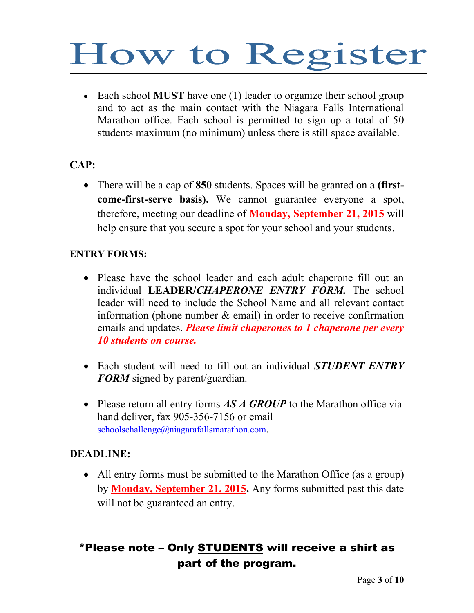# How to Register

 Each school **MUST** have one (1) leader to organize their school group and to act as the main contact with the Niagara Falls International Marathon office. Each school is permitted to sign up a total of 50 students maximum (no minimum) unless there is still space available.

#### **CAP:**

 There will be a cap of **850** students. Spaces will be granted on a **(firstcome-first-serve basis).** We cannot guarantee everyone a spot, therefore, meeting our deadline of **Monday, September 21, 2015** will help ensure that you secure a spot for your school and your students.

#### **ENTRY FORMS:**

- Please have the school leader and each adult chaperone fill out an individual **LEADER/***CHAPERONE ENTRY FORM.* The school leader will need to include the School Name and all relevant contact information (phone number  $\&$  email) in order to receive confirmation emails and updates. *Please limit chaperones to 1 chaperone per every 10 students on course.*
- Each student will need to fill out an individual *STUDENT ENTRY FORM* signed by parent/guardian.
- Please return all entry forms **AS A GROUP** to the Marathon office via hand deliver, fax 905-356-7156 or email [schoolschallenge@niagarafallsmarathon.com](mailto:schoolschallenge@niagarafallsmarathon.com).

#### **DEADLINE:**

 All entry forms must be submitted to the Marathon Office (as a group) by **Monday, September 21, 2015.** Any forms submitted past this date will not be guaranteed an entry.

## \*Please note – Only STUDENTS will receive a shirt as part of the program.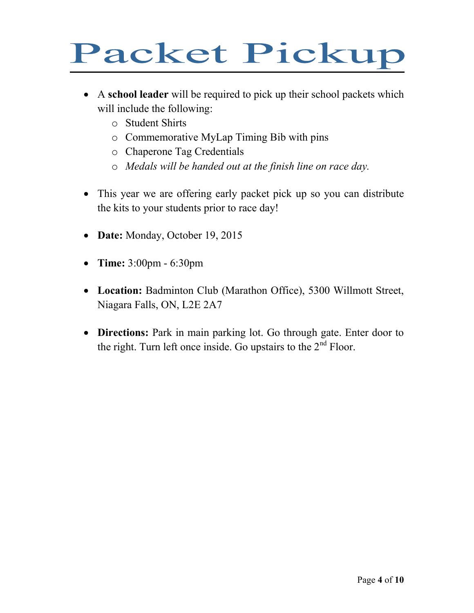# Packet Pickup

- A **school leader** will be required to pick up their school packets which will include the following:
	- o Student Shirts
	- o Commemorative MyLap Timing Bib with pins
	- o Chaperone Tag Credentials
	- o *Medals will be handed out at the finish line on race day.*
- This year we are offering early packet pick up so you can distribute the kits to your students prior to race day!
- Date: Monday, October 19, 2015
- **Time:** 3:00pm 6:30pm
- **Location:** Badminton Club (Marathon Office), 5300 Willmott Street, Niagara Falls, ON, L2E 2A7
- **Directions:** Park in main parking lot. Go through gate. Enter door to the right. Turn left once inside. Go upstairs to the  $2<sup>nd</sup>$  Floor.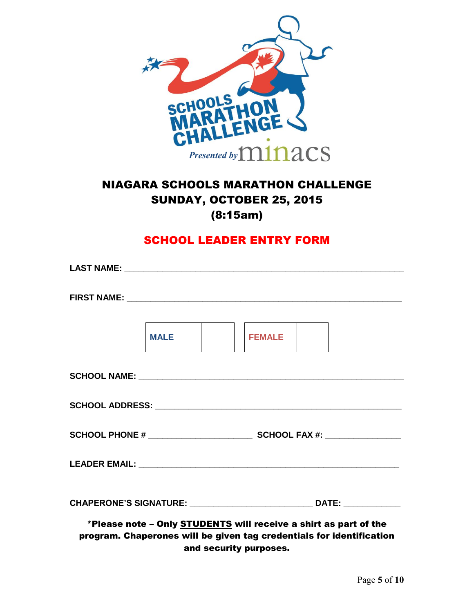

## NIAGARA SCHOOLS MARATHON CHALLENGE SUNDAY, OCTOBER 25, 2015 (8:15am)

### SCHOOL LEADER ENTRY FORM

|  | MALE                                                                                                                                     |  | <b>FEMALE</b> |  |  |  |
|--|------------------------------------------------------------------------------------------------------------------------------------------|--|---------------|--|--|--|
|  |                                                                                                                                          |  |               |  |  |  |
|  |                                                                                                                                          |  |               |  |  |  |
|  |                                                                                                                                          |  |               |  |  |  |
|  |                                                                                                                                          |  |               |  |  |  |
|  |                                                                                                                                          |  |               |  |  |  |
|  | *Please note - Only STUDENTS will receive a shirt as part of the<br>program. Chaperones will be given tag credentials for identification |  |               |  |  |  |

and security purposes.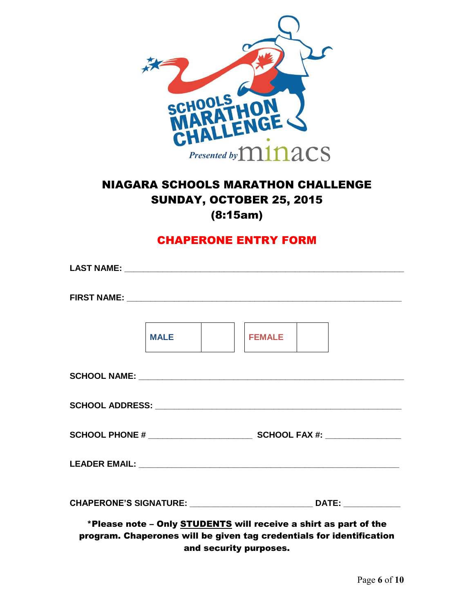

## NIAGARA SCHOOLS MARATHON CHALLENGE SUNDAY, OCTOBER 25, 2015 (8:15am)

### CHAPERONE ENTRY FORM

|  | MALE NOT |  | <b>FEMALE</b>                                                                                                                                   |  |  |  |
|--|----------|--|-------------------------------------------------------------------------------------------------------------------------------------------------|--|--|--|
|  |          |  |                                                                                                                                                 |  |  |  |
|  |          |  |                                                                                                                                                 |  |  |  |
|  |          |  |                                                                                                                                                 |  |  |  |
|  |          |  |                                                                                                                                                 |  |  |  |
|  |          |  |                                                                                                                                                 |  |  |  |
|  |          |  | *Please note - Only <b>STUDENTS</b> will receive a shirt as part of the<br>program. Chaperones will be given tag credentials for identification |  |  |  |

and security purposes.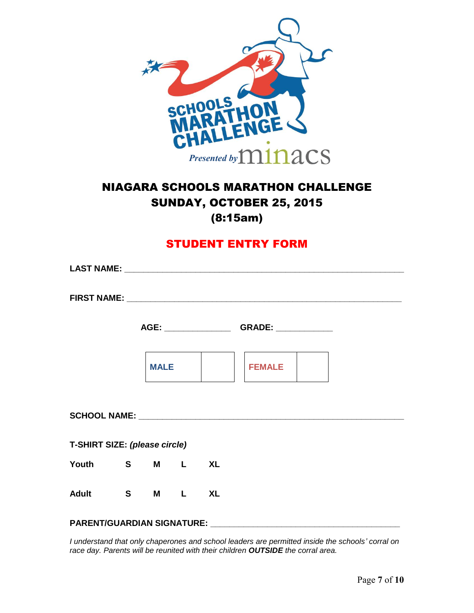

## NIAGARA SCHOOLS MARATHON CHALLENGE SUNDAY, OCTOBER 25, 2015 (8:15am)

#### STUDENT ENTRY FORM

|                               |  |             |  | AGE: _________________________GRADE: _________________ |  |
|-------------------------------|--|-------------|--|--------------------------------------------------------|--|
|                               |  | <b>MALE</b> |  | <b>FEMALE</b>                                          |  |
|                               |  |             |  | SCHOOL NAME: VALUE AND A SCHOOL NAME:                  |  |
| T-SHIRT SIZE: (please circle) |  |             |  |                                                        |  |
| Youth S M L XL                |  |             |  |                                                        |  |
| Adult S M L XL                |  |             |  |                                                        |  |
|                               |  |             |  |                                                        |  |

*I understand that only chaperones and school leaders are permitted inside the schools' corral on race day. Parents will be reunited with their children OUTSIDE the corral area.*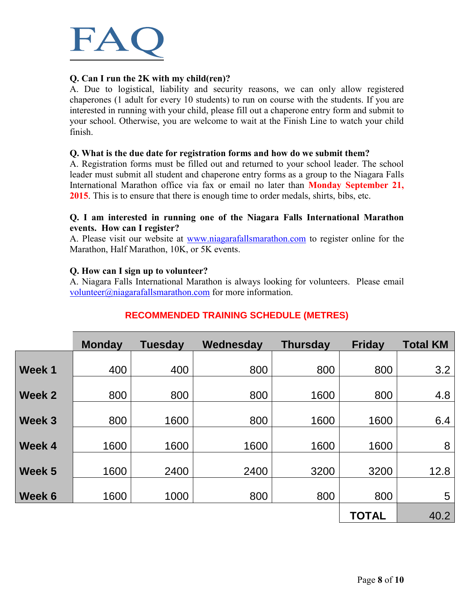

#### **Q. Can I run the 2K with my child(ren)?**

A. Due to logistical, liability and security reasons, we can only allow registered chaperones (1 adult for every 10 students) to run on course with the students. If you are interested in running with your child, please fill out a chaperone entry form and submit to your school. Otherwise, you are welcome to wait at the Finish Line to watch your child finish.

#### **Q. What is the due date for registration forms and how do we submit them?**

A. Registration forms must be filled out and returned to your school leader. The school leader must submit all student and chaperone entry forms as a group to the Niagara Falls International Marathon office via fax or email no later than **Monday September 21, 2015**. This is to ensure that there is enough time to order medals, shirts, bibs, etc.

#### **Q. I am interested in running one of the Niagara Falls International Marathon events. How can I register?**

A. Please visit our website at [www.niagarafallsmarathon.com](http://www.niagarafallsmarathon.com/) to register online for the Marathon, Half Marathon, 10K, or 5K events.

#### **Q. How can I sign up to volunteer?**

A. Niagara Falls International Marathon is always looking for volunteers. Please email [volunteer@niagarafallsmarathon.com](mailto:volunteer@niagarafallsmarathon.com) for more information.

|        | <b>Monday</b> | <b>Tuesday</b> | Wednesday | <b>Thursday</b> | <b>Friday</b> | <b>Total KM</b> |
|--------|---------------|----------------|-----------|-----------------|---------------|-----------------|
| Week 1 | 400           | 400            | 800       | 800             | 800           | 3.2             |
|        |               |                |           |                 |               |                 |
| Week 2 | 800           | 800            | 800       | 1600            | 800           | 4.8             |
| Week 3 | 800           | 1600           | 800       | 1600            | 1600          | 6.4             |
| Week 4 | 1600          | 1600           | 1600      | 1600            | 1600          | 8               |
| Week 5 | 1600          | 2400           | 2400      | 3200            | 3200          | 12.8            |
| Week 6 | 1600          | 1000           | 800       | 800             | 800           | 5               |
|        |               |                |           |                 | <b>TOTAL</b>  | 40.2            |

#### **RECOMMENDED TRAINING SCHEDULE (METRES)**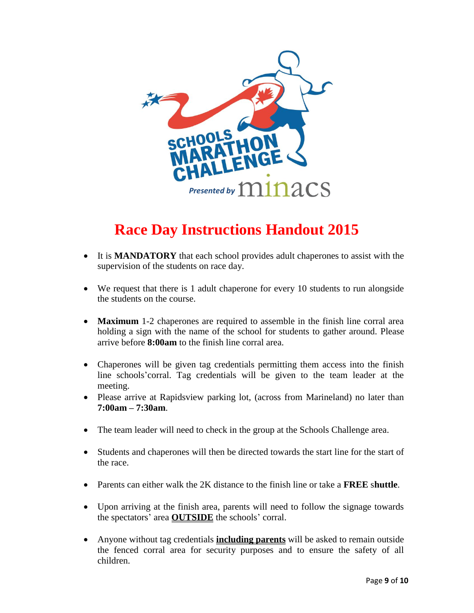

# **Race Day Instructions Handout 2015**

- It is **MANDATORY** that each school provides adult chaperones to assist with the supervision of the students on race day.
- We request that there is 1 adult chaperone for every 10 students to run alongside the students on the course.
- **Maximum** 1-2 chaperones are required to assemble in the finish line corral area holding a sign with the name of the school for students to gather around. Please arrive before **8:00am** to the finish line corral area.
- Chaperones will be given tag credentials permitting them access into the finish line schools'corral. Tag credentials will be given to the team leader at the meeting.
- Please arrive at Rapidsview parking lot, (across from Marineland) no later than **7:00am – 7:30am**.
- The team leader will need to check in the group at the Schools Challenge area.
- Students and chaperones will then be directed towards the start line for the start of the race.
- Parents can either walk the 2K distance to the finish line or take a **FREE** s**huttle**.
- Upon arriving at the finish area, parents will need to follow the signage towards the spectators' area **OUTSIDE** the schools' corral.
- Anyone without tag credentials **including parents** will be asked to remain outside the fenced corral area for security purposes and to ensure the safety of all children.